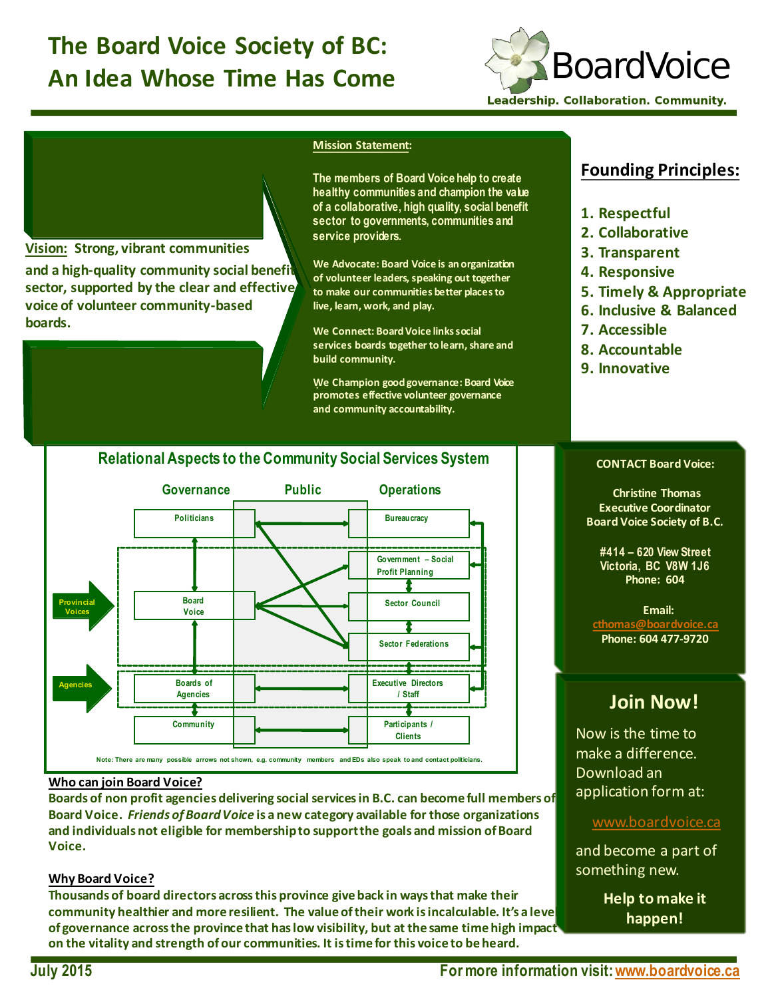# **The Board Voice Society of BC: An Idea Whose Time Has Come**



#### **Mission Statement:**

**The members of Board Voice help to create healthy communities and champion the value of a collaborative, high quality, social benefit sector to governments, communities and service providers.** 

**We Advocate: Board Voice is an organization** of volunteer leaders, speaking out together **to make our communities better places to**  live, learn, work, and play.

**We Connect: Board Voice links social** services boards together to learn, share and **build community.** 

. **We Champion good governance: Board Voice promotes effective volunteer governance and community accountability.**

### **Founding Principles:**

- **1. Respectful**
- **2. Collaborative**
- **3. Transparent**
- **4. Responsive**
- **5. Timely & Appropriate**
- **6. Inclusive & Balanced**
- **7. Accessible**
- **8. Accountable**
- **9. Innovative**

#### **Relational Aspects to the Community Social Services System**



#### **Who can join Board Voice?**

**Vision: Strong, vibrant communities**

voice of volunteer community-based

**boards.** 

and a high-quality community social benefit sector, supported by the clear and effective

Boards of non profit agencies delivering social services in B.C. can become full members of Board Voice. Friends of Board Voice is a new category available for those organizations and individuals not eligible for membership to support the goals and mission of Board **Voice.**

#### **Why Board Voice?**

**Thousands of board directors across this province give back in ways that make their** community healthier and more resilient. The value of their work is incalculable. It's a leve of governance across the province that has low visibility, but at the same time high impact on the vitality and strength of our communities. It is time for this voice to be heard.

#### **CONTACT Board Voice:**

**Christine Thomas Executive Coordinator Board Voice Society of B.C.** 

**#414 – 620 View Street Victoria, BC V8W 1J6 Phone: 604** 

Email: **cthomas@boardvoice.ca Phone: 604 477-9720**

## **Join Now!**

Now is the time to make a difference. Download an application form at:

#### www.boardvoice.ca

and become a part of something new.

> **Help to make it happen!**